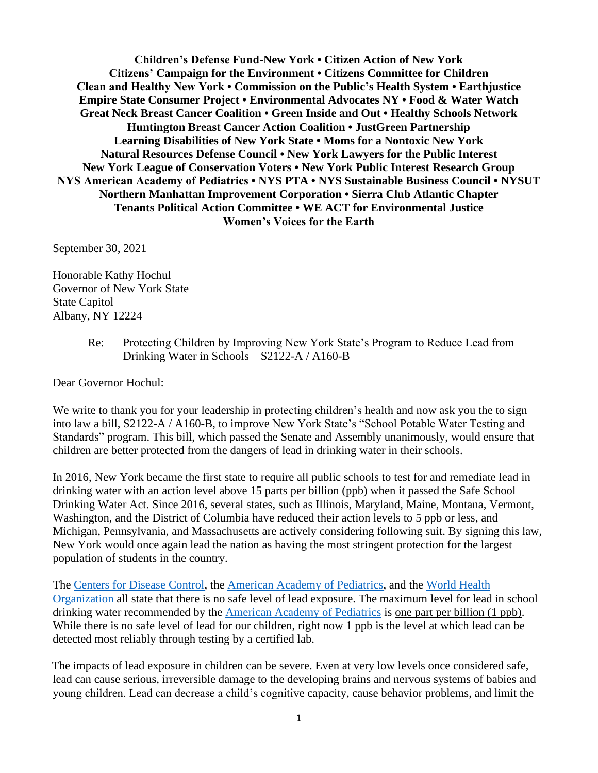**Children's Defense Fund-New York • Citizen Action of New York Citizens' Campaign for the Environment • Citizens Committee for Children Clean and Healthy New York • Commission on the Public's Health System • Earthjustice Empire State Consumer Project • Environmental Advocates NY • Food & Water Watch Great Neck Breast Cancer Coalition • Green Inside and Out • Healthy Schools Network Huntington Breast Cancer Action Coalition • JustGreen Partnership Learning Disabilities of New York State • Moms for a Nontoxic New York Natural Resources Defense Council • New York Lawyers for the Public Interest New York League of Conservation Voters • New York Public Interest Research Group NYS American Academy of Pediatrics • NYS PTA • NYS Sustainable Business Council • NYSUT Northern Manhattan Improvement Corporation • Sierra Club Atlantic Chapter Tenants Political Action Committee • WE ACT for Environmental Justice Women's Voices for the Earth** 

September 30, 2021

Honorable Kathy Hochul Governor of New York State State Capitol Albany, NY 12224

> Re: Protecting Children by Improving New York State's Program to Reduce Lead from Drinking Water in Schools – S2122-A / A160-B

Dear Governor Hochul:

We write to thank you for your leadership in protecting children's health and now ask you the to sign into law a bill, S2122-A / A160-B, to improve New York State's "School Potable Water Testing and Standards" program. This bill, which passed the Senate and Assembly unanimously, would ensure that children are better protected from the dangers of lead in drinking water in their schools.

In 2016, New York became the first state to require all public schools to test for and remediate lead in drinking water with an action level above 15 parts per billion (ppb) when it passed the Safe School Drinking Water Act. Since 2016, several states, such as Illinois, Maryland, Maine, Montana, Vermont, Washington, and the District of Columbia have reduced their action levels to 5 ppb or less, and Michigan, Pennsylvania, and Massachusetts are actively considering following suit. By signing this law, New York would once again lead the nation as having the most stringent protection for the largest population of students in the country.

Th[e](https://www.cdc.gov/nceh/lead/acclpp/blood_lead_levels.htm) [Centers for Disease Control](https://www.cdc.gov/nceh/lead/data/blood-lead-reference-value.htm?CDC_AA_refVal=https%3A%2F%2Fwww.cdc.gov%2Fnceh%2Flead%2Facclpp%2Fblood_lead_levels.htm)[,](https://www.cdc.gov/nceh/lead/acclpp/blood_lead_levels.htm) [t](https://www.aap.org/en-us/advocacy-and-policy/aap-health-initiatives/lead-exposure/Pages/Lead-Exposure-in-Children.aspx)he [American Academy of Pediatrics,](https://www.aap.org/en-us/advocacy-and-policy/aap-health-initiatives/lead-exposure/Pages/Lead-Exposure-in-Children.aspx) and the [World Health](https://www.who.int/en/news-room/fact-sheets/detail/lead-poisoning-and-health)  [Organization](https://www.who.int/en/news-room/fact-sheets/detail/lead-poisoning-and-health) all state that there is no safe level of lead exposure. The maximum level for lead in school drinking water recommended by the [American Academy of Pediatrics](https://pediatrics.aappublications.org/content/138/1/e20161493) is one part per billion (1 ppb). While there is no safe level of lead for our children, right now 1 ppb is the level at which lead can be detected most reliably through testing by a certified lab.

The impacts of lead exposure in children can be severe. Even at very low levels once considered safe, lead can cause serious, irreversible damage to the developing brains and nervous systems of babies and young children. Lead can decrease a child's cognitive capacity, cause behavior problems, and limit the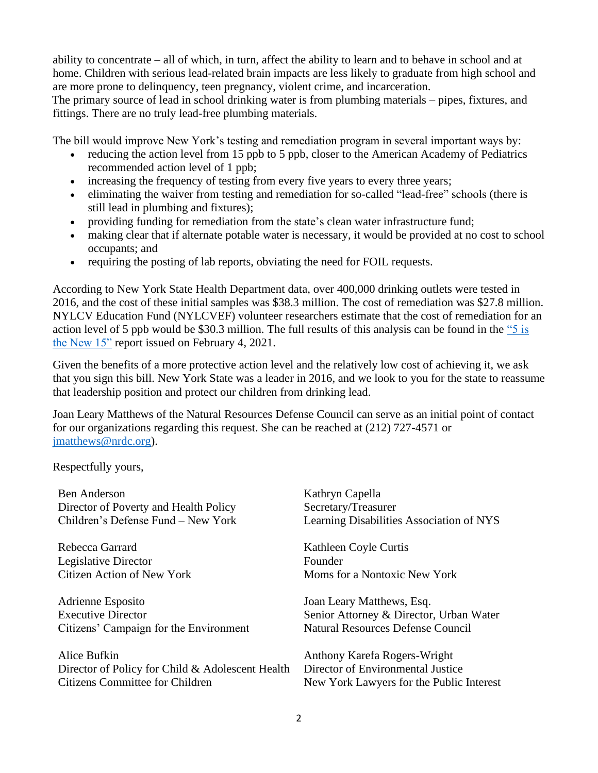ability to concentrate – all of which, in turn, affect the ability to learn and to behave in school and at home. Children with serious lead-related brain impacts are less likely to graduate from high school and are more prone to delinquency, teen pregnancy, violent crime, and incarceration.

The primary source of lead in school drinking water is from plumbing materials – pipes, fixtures, and fittings. There are no truly lead-free plumbing materials.

The bill would improve New York's testing and remediation program in several important ways by:

- reducing the action level from 15 ppb to 5 ppb, closer to the American Academy of Pediatrics recommended action level of 1 ppb;
- increasing the frequency of testing from every five years to every three years;
- eliminating the waiver from testing and remediation for so-called "lead-free" schools (there is still lead in plumbing and fixtures);
- providing funding for remediation from the state's clean water infrastructure fund;
- making clear that if alternate potable water is necessary, it would be provided at no cost to school occupants; and
- requiring the posting of lab reports, obviating the need for FOIL requests.

According to New York State Health Department data, over 400,000 drinking outlets were tested in 2016, and the cost of these initial samples was \$38.3 million. The cost of remediation was \$27.8 million. NYLCV Education Fund (NYLCVEF) volunteer researchers estimate that the cost of remediation for an action level of 5 ppb would be \$30.3 million. The full results of this analysis can be found in the ["5 is](https://nylcvef.org/wp-content/uploads/2021/02/Lead-Report_drinking-water.pdf)  [the New 15"](https://nylcvef.org/wp-content/uploads/2021/02/Lead-Report_drinking-water.pdf) report issued on February 4, 2021.

Given the benefits of a more protective action level and the relatively low cost of achieving it, we ask that you sign this bill. New York State was a leader in 2016, and we look to you for the state to reassume that leadership position and protect our children from drinking lead.

Joan Leary Matthews of the Natural Resources Defense Council can serve as an initial point of contact for our organizations regarding this request. She can be reached at (212) 727-4571 or [jmatthews@nrdc.org\)](mailto:jmatthews@nrdc.org).

Respectfully yours,

| <b>Ben Anderson</b>                                                                                 | Kathryn Capella                                                                                               |
|-----------------------------------------------------------------------------------------------------|---------------------------------------------------------------------------------------------------------------|
| Director of Poverty and Health Policy                                                               | Secretary/Treasurer                                                                                           |
| Children's Defense Fund – New York                                                                  | Learning Disabilities Association of NYS                                                                      |
| Rebecca Garrard                                                                                     | Kathleen Coyle Curtis                                                                                         |
| Legislative Director                                                                                | Founder                                                                                                       |
| <b>Citizen Action of New York</b>                                                                   | Moms for a Nontoxic New York                                                                                  |
| Adrienne Esposito                                                                                   | Joan Leary Matthews, Esq.                                                                                     |
| <b>Executive Director</b>                                                                           | Senior Attorney & Director, Urban Water                                                                       |
| Citizens' Campaign for the Environment                                                              | <b>Natural Resources Defense Council</b>                                                                      |
| Alice Bufkin<br>Director of Policy for Child & Adolescent Health<br>Citizens Committee for Children | Anthony Karefa Rogers-Wright<br>Director of Environmental Justice<br>New York Lawyers for the Public Interest |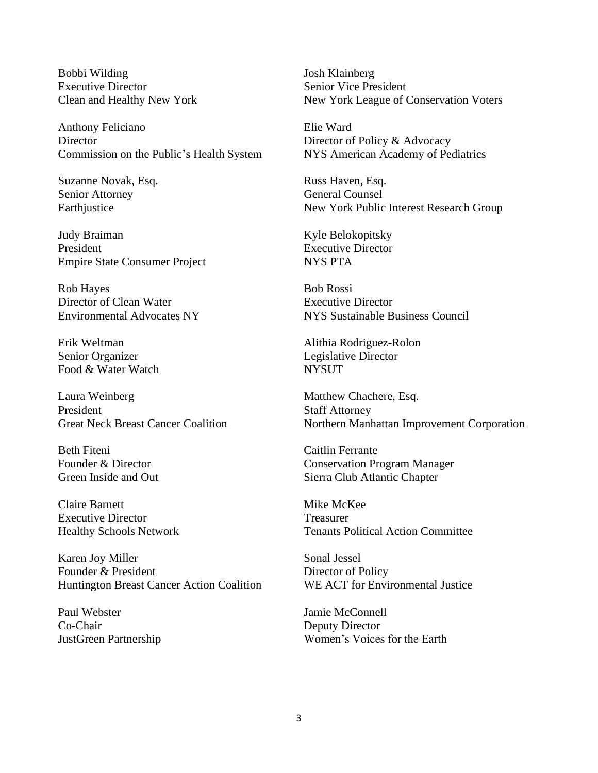Bobbi Wilding Executive Director Clean and Healthy New York

Anthony Feliciano Director Commission on the Public's Health System

Suzanne Novak, Esq. Senior Attorney Earthjustice

Judy Braiman President Empire State Consumer Project

Rob Hayes Director of Clean Water Environmental Advocates NY

Erik Weltman Senior Organizer Food & Water Watch

Laura Weinberg President Great Neck Breast Cancer Coalition

Beth Fiteni Founder & Director Green Inside and Out

Claire Barnett Executive Director Healthy Schools Network

Karen Joy Miller Founder & President Huntington Breast Cancer Action Coalition

Paul Webster Co-Chair JustGreen Partnership Josh Klainberg Senior Vice President New York League of Conservation Voters

Elie Ward Director of Policy & Advocacy NYS American Academy of Pediatrics

Russ Haven, Esq. General Counsel New York Public Interest Research Group

Kyle Belokopitsky Executive Director NYS PTA

Bob Rossi Executive Director NYS Sustainable Business Council

Alithia Rodriguez-Rolon Legislative Director **NYSUT** 

Matthew Chachere, Esq. Staff Attorney Northern Manhattan Improvement Corporation

Caitlin Ferrante Conservation Program Manager Sierra Club Atlantic Chapter

Mike McKee Treasurer Tenants Political Action Committee

Sonal Jessel Director of Policy WE ACT for Environmental Justice

Jamie McConnell Deputy Director Women's Voices for the Earth